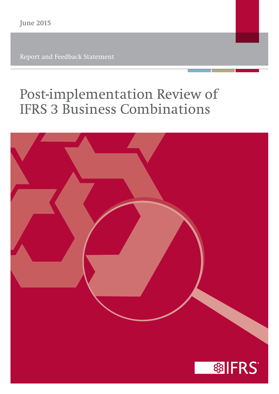Report and Feedback Statement

## **Post-implementation Review of IFRS 3 Business Combinations**

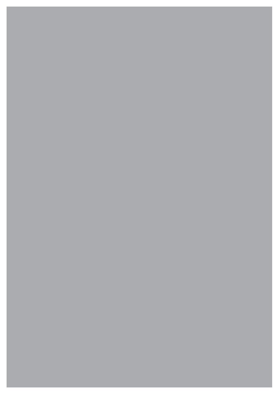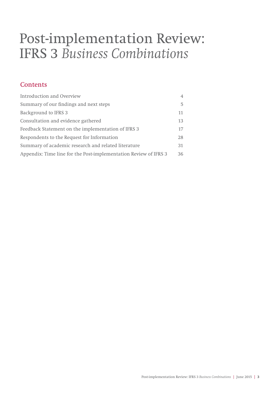### **Post-implementation Review: IFRS 3** *Business Combinations*

#### **Contents**

| Introduction and Overview                                        |    |
|------------------------------------------------------------------|----|
| Summary of our findings and next steps                           | 5  |
| Background to IFRS 3                                             | 11 |
| Consultation and evidence gathered                               | 13 |
| Feedback Statement on the implementation of IFRS 3               | 17 |
| Respondents to the Request for Information                       | 28 |
| Summary of academic research and related literature              | 31 |
| Appendix: Time line for the Post-implementation Review of IFRS 3 | 36 |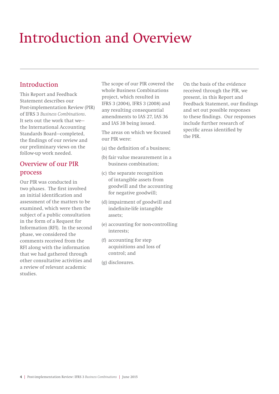# Introduction and Overview

### Introduction

This Report and Feedback Statement describes our Post-implementation Review (PIR) of IFRS 3 *Business Combinations*. It sets out the work that we the International Accounting Standards Board—completed, the findings of our review and our preliminary views on the follow-up work needed.

### Overview of our PIR process

Our PIR was conducted in two phases. The first involved an initial identification and assessment of the matters to be examined, which were then the subject of a public consultation in the form of a Request for Information (RFI). In the second phase, we considered the comments received from the RFI along with the information that we had gathered through other consultative activities and a review of relevant academic studies.

The scope of our PIR covered the whole Business Combinations project, which resulted in IFRS 3 (2004), IFRS 3 (2008) and any resulting consequential amendments to IAS 27, IAS 36 and IAS 38 being issued.

The areas on which we focused our PIR were:

- (a) the definition of a business;
- (b) fair value measurement in a business combination;
- (c) the separate recognition of intangible assets from goodwill and the accounting for negative goodwill;
- (d) impairment of goodwill and indefinite-life intangible assets;
- (e) accounting for non-controlling interests;
- (f) accounting for step acquisitions and loss of control; and
- (g) disclosures.

On the basis of the evidence received through the PIR, we present, in this Report and Feedback Statement, our findings and set out possible responses to these findings. Our responses include further research of specific areas identified by the PIR.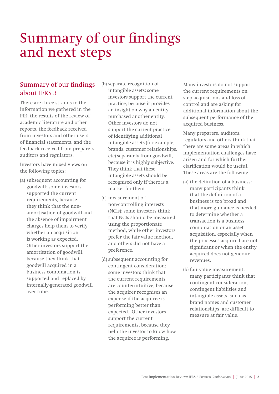## Summary of our findings and next steps

### Summary of our findings about IFRS 3

There are three strands to the information we gathered in the PIR; the results of the review of academic literature and other reports, the feedback received from investors and other users of financial statements, and the feedback received from preparers, auditors and regulators.

Investors have mixed views on the following topics:

- (a) subsequent accounting for goodwill: some investors supported the current requirements, because they think that the nonamortisation of goodwill and the absence of impairment charges help them to verify whether an acquisition is working as expected. Other investors support the amortisation of goodwill, because they think that goodwill acquired in a business combination is supported and replaced by internally-generated goodwill over time.
- (b) separate recognition of intangible assets: some investors support the current practice, because it provides an insight on why an entity purchased another entity. Other investors do not support the current practice of identifying additional intangible assets (for example, brands, customer relationships, etc) separately from goodwill, because it is highly subjective. They think that these intangible assets should be recognised only if there is a market for them.
- (c) measurement of non-controlling interests (NCIs): some investors think that NCIs should be measured using the proportionate method, while other investors prefer the fair value method, and others did not have a preference.
- (d) subsequent accounting for contingent consideration: some investors think that the current requirements are counterintuitive, because the acquirer recognises an expense if the acquiree is performing better than expected. Other investors support the current requirements, because they help the investor to know how the acquiree is performing.

Many investors do not support the current requirements on step acquisitions and loss of control and are asking for additional information about the subsequent performance of the acquired business.

Many preparers, auditors, regulators and others think that there are some areas in which implementation challenges have arisen and for which further clarification would be useful. These areas are the following.

- (a) the definition of a business: many participants think that the definition of a business is too broad and that more guidance is needed to determine whether a transaction is a business combination or an asset acquisition, especially when the processes acquired are not significant or when the entity acquired does not generate revenues.
- (b) fair value measurement: many participants think that contingent consideration, contingent liabilities and intangible assets, such as brand names and customer relationships, are difficult to measure at fair value.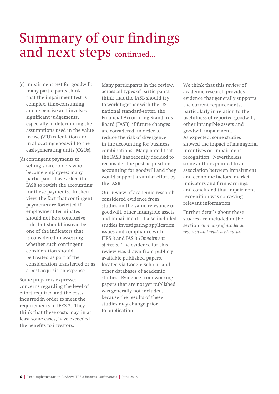### Summary of our findings and next steps continued...

- (c) impairment test for goodwill: many participants think that the impairment test is complex, time-consuming and expensive and involves significant judgements, especially in determining the assumptions used in the value in use (VIU) calculation and in allocating goodwill to the cash-generating units (CGUs).
- (d) contingent payments to selling shareholders who become employees: many participants have asked the IASB to revisit the accounting for these payments. In their view, the fact that contingent payments are forfeited if employment terminates should not be a conclusive rule, but should instead be one of the indicators that is considered in assessing whether such contingent consideration should be treated as part of the consideration transferred or as a post-acquisition expense.

Some preparers expressed concerns regarding the level of effort required and the costs incurred in order to meet the requirements in IFRS 3. They think that these costs may, in at least some cases, have exceeded the benefits to investors.

Many participants in the review, across all types of participants, think that the IASB should try to work together with the US national standard-setter, the Financial Accounting Standards Board (FASB), if future changes are considered, in order to reduce the risk of divergence in the accounting for business combinations. Many noted that the FASB has recently decided to reconsider the post-acquisition accounting for goodwill and they would support a similar effort by the IASB.

Our review of academic research considered evidence from studies on the value relevance of goodwill, other intangible assets and impairment. It also included studies investigating application issues and compliance with IFRS 3 and IAS 36 *Impairment of Assets*. The evidence for this review was drawn from publicly available published papers, located via Google Scholar and other databases of academic studies. Evidence from working papers that are not yet published was generally not included, because the results of these studies may change prior to publication.

We think that this review of academic research provides evidence that generally supports the current requirements, particularly in relation to the usefulness of reported goodwill, other intangible assets and goodwill impairment. As expected, some studies showed the impact of managerial incentives on impairment recognition. Nevertheless, some authors pointed to an association between impairment and economic factors, market indicators and firm earnings, and concluded that impairment recognition was conveying relevant information.

Further details about these studies are included in the section *Summary of academic research and related literature*.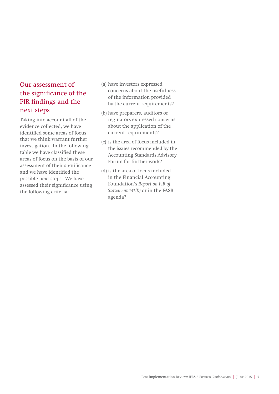### Our assessment of the significance of the PIR findings and the next steps

Taking into account all of the evidence collected, we have identified some areas of focus that we think warrant further investigation. In the following table we have classified these areas of focus on the basis of our assessment of their significance and we have identified the possible next steps. We have assessed their significance using the following criteria:

- (a) have investors expressed concerns about the usefulness of the information provided by the current requirements?
- (b) have preparers, auditors or regulators expressed concerns about the application of the current requirements?
- (c) is the area of focus included in the issues recommended by the Accounting Standards Advisory Forum for further work?
- (d) is the area of focus included in the Financial Accounting Foundation's *Report on PIR of Statement 141(R)* or in the FASB agenda?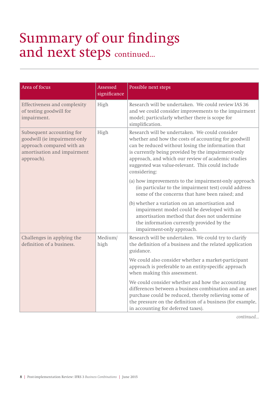## Summary of our findings and next steps continued...

| Area of focus                                                                                                                       | Assessed<br>significance | Possible next steps                                                                                                                                                                                                                                                                                                                          |
|-------------------------------------------------------------------------------------------------------------------------------------|--------------------------|----------------------------------------------------------------------------------------------------------------------------------------------------------------------------------------------------------------------------------------------------------------------------------------------------------------------------------------------|
| <b>Effectiveness and complexity</b><br>of testing goodwill for<br>impairment.                                                       | High                     | Research will be undertaken. We could review IAS 36<br>and we could consider improvements to the impairment<br>model; particularly whether there is scope for<br>simplification.                                                                                                                                                             |
| Subsequent accounting for<br>goodwill (ie impairment-only<br>approach compared with an<br>amortisation and impairment<br>approach). | High                     | Research will be undertaken. We could consider<br>whether and how the costs of accounting for goodwill<br>can be reduced without losing the information that<br>is currently being provided by the impairment-only<br>approach, and which our review of academic studies<br>suggested was value-relevant. This could include<br>considering: |
|                                                                                                                                     |                          | (a) how improvements to the impairment-only approach<br>(in particular to the impairment test) could address<br>some of the concerns that have been raised; and                                                                                                                                                                              |
|                                                                                                                                     |                          | (b) whether a variation on an amortisation and<br>impairment model could be developed with an<br>amortisation method that does not undermine<br>the information currently provided by the<br>impairment-only approach.                                                                                                                       |
| Challenges in applying the<br>definition of a business.                                                                             | Medium/<br>high          | Research will be undertaken. We could try to clarify<br>the definition of a business and the related application<br>guidance.                                                                                                                                                                                                                |
|                                                                                                                                     |                          | We could also consider whether a market-participant<br>approach is preferable to an entity-specific approach<br>when making this assessment.                                                                                                                                                                                                 |
|                                                                                                                                     |                          | We could consider whether and how the accounting<br>differences between a business combination and an asset<br>purchase could be reduced, thereby relieving some of<br>the pressure on the definition of a business (for example,<br>in accounting for deferred taxes).                                                                      |

*continued...*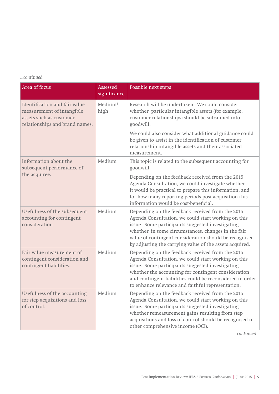#### *...continued*

| Area of focus                                                                                                           | <b>Assessed</b><br>significance | Possible next steps                                                                                                                                                                                                                                                                                                                     |
|-------------------------------------------------------------------------------------------------------------------------|---------------------------------|-----------------------------------------------------------------------------------------------------------------------------------------------------------------------------------------------------------------------------------------------------------------------------------------------------------------------------------------|
| Identification and fair value<br>measurement of intangible<br>assets such as customer<br>relationships and brand names. | Medium/<br>high                 | Research will be undertaken. We could consider<br>whether particular intangible assets (for example,<br>customer relationships) should be subsumed into<br>goodwill.                                                                                                                                                                    |
|                                                                                                                         |                                 | We could also consider what additional guidance could<br>be given to assist in the identification of customer<br>relationship intangible assets and their associated<br>measurement.                                                                                                                                                    |
| Information about the<br>subsequent performance of                                                                      | Medium                          | This topic is related to the subsequent accounting for<br>goodwill.                                                                                                                                                                                                                                                                     |
| the acquiree.                                                                                                           |                                 | Depending on the feedback received from the 2015<br>Agenda Consultation, we could investigate whether<br>it would be practical to prepare this information, and<br>for how many reporting periods post-acquisition this<br>information would be cost-beneficial.                                                                        |
| Usefulness of the subsequent<br>accounting for contingent<br>consideration.                                             | Medium                          | Depending on the feedback received from the 2015<br>Agenda Consultation, we could start working on this<br>issue. Some participants suggested investigating<br>whether, in some circumstances, changes in the fair<br>value of contingent consideration should be recognised<br>by adjusting the carrying value of the assets acquired. |
| Fair value measurement of<br>contingent consideration and<br>contingent liabilities.                                    | Medium                          | Depending on the feedback received from the 2015<br>Agenda Consultation, we could start working on this<br>issue. Some participants suggested investigating<br>whether the accounting for contingent consideration<br>and contingent liabilities could be reconsidered in order<br>to enhance relevance and faithful representation.    |
| Usefulness of the accounting<br>for step acquisitions and loss<br>of control.                                           | Medium                          | Depending on the feedback received from the 2015<br>Agenda Consultation, we could start working on this<br>issue. Some participants suggested investigating<br>whether remeasurement gains resulting from step<br>acquisitions and loss of control should be recognised in<br>other comprehensive income (OCI).                         |

*continued...*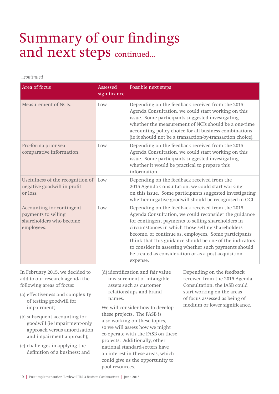## Summary of our findings and next steps continued...

*...continued*

| Area of focus                                                                             | Assessed<br>significance | Possible next steps                                                                                                                                                                                                                                                                                                                                                                                                                                                   |
|-------------------------------------------------------------------------------------------|--------------------------|-----------------------------------------------------------------------------------------------------------------------------------------------------------------------------------------------------------------------------------------------------------------------------------------------------------------------------------------------------------------------------------------------------------------------------------------------------------------------|
| Measurement of NCIs.                                                                      | Low                      | Depending on the feedback received from the 2015<br>Agenda Consultation, we could start working on this<br>issue. Some participants suggested investigating<br>whether the measurement of NCIs should be a one-time<br>accounting policy choice for all business combinations<br>(ie it should not be a transaction-by-transaction choice).                                                                                                                           |
| Pro-forma prior year<br>comparative information.                                          | Low                      | Depending on the feedback received from the 2015<br>Agenda Consultation, we could start working on this<br>issue. Some participants suggested investigating<br>whether it would be practical to prepare this<br>information.                                                                                                                                                                                                                                          |
| Usefulness of the recognition of Low<br>negative goodwill in profit<br>or loss.           |                          | Depending on the feedback received from the<br>2015 Agenda Consultation, we could start working<br>on this issue. Some participants suggested investigating<br>whether negative goodwill should be recognised in OCI.                                                                                                                                                                                                                                                 |
| Accounting for contingent<br>payments to selling<br>shareholders who become<br>employees. | Low                      | Depending on the feedback received from the 2015<br>Agenda Consultation, we could reconsider the guidance<br>for contingent payments to selling shareholders in<br>circumstances in which those selling shareholders<br>become, or continue as, employees. Some participants<br>think that this guidance should be one of the indicators<br>to consider in assessing whether such payments should<br>be treated as consideration or as a post-acquisition<br>expense. |

In February 2015, we decided to add to our research agenda the following areas of focus:

- (a) effectiveness and complexity of testing goodwill for impairment;
- (b) subsequent accounting for goodwill (ie impairment-only approach versus amortisation and impairment approach);
- (c) challenges in applying the definition of a business; and

(d) identification and fair value measurement of intangible assets such as customer relationships and brand names.

We will consider how to develop these projects. The FASB is also working on these topics, so we will assess how we might co-operate with the FASB on these projects. Additionally, other national standard-setters have an interest in these areas, which could give us the opportunity to pool resources.

Depending on the feedback received from the 2015 Agenda Consultation, the IASB could start working on the areas of focus assessed as being of medium or lower significance.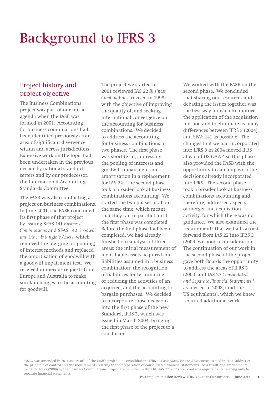# Background to IFRS 3

### Project history and project objective

The Business Combinations project was part of our initial agenda when the IASB was formed in 2001. Accounting for business combinations had been identified previously as an area of significant divergence within and across jurisdictions. Extensive work on the topic had been undertaken in the previous decade by national standardsetters and by our predecessor, the International Accounting Standards Committee.

The FASB was also conducting a project on business combinations. In June 2001, the FASB concluded its first phase of that project by issuing SFAS 141 *Business Combinations* and SFAS 142 *Goodwill and Other Intangible Assets*, which removed the merging (or pooling) of interest methods and replaced the amortisation of goodwill with a goodwill impairment test. We received numerous requests from Europe and Australia to make similar changes to the accounting for goodwill.

The project we started in 2001 reviewed IAS 22 *Business Combinations* (revised in 1998) with the objective of improving the quality of, and seeking international convergence on, the accounting for business combinations. We decided to address the accounting for business combinations in two phases. The first phase was short-term, addressing the pooling of interests and goodwill impairment and amortisation in a replacement for IAS 22. The second phase took a broader look at business combinations accounting. We started the two phases at about the same time, which meant that they ran in parallel until the first phase was completed. Before the first phase had been completed, we had already finished our analysis of three areas: the initial measurement of identifiable assets acquired and liabilities assumed in a business combination; the recognition of liabilities for terminating or reducing the activities of an acquiree; and the accounting for bargain purchases. We decided to incorporate those decisions into the first phase of the new Standard, IFRS 3, which was issued in March 2004, bringing the first phase of the project to a conclusion.

We worked with the FASB on the second phase. We concluded that sharing our resources and debating the issues together was the best way for each to improve the application of the acquisition method and to eliminate as many differences between IFRS 3 (2004) and SFAS 141 as possible. The changes that we had incorporated into IFRS 3 in 2004 moved IFRS ahead of US GAAP, so this phase also provided the FASB with the opportunity to catch up with the decisions already incorporated into IFRS. The second phase took a broader look at business combinations accounting and, therefore, addressed aspects of merger and acquisition activity, for which there was no guidance. We also examined the requirements that we had carried forward from IAS 22 into IFRS 3 (2004) without reconsideration. The continuation of our work in the second phase of the project gave both Boards the opportunity to address the areas of IFRS 3 (2004) and IAS 27 *Consolidated and Separate Financial Statements*, 1 as revised in 2003, (and the US equivalents), which we knew required additional work.

<sup>1</sup> IAS 27 was amended in 2011 as a result of the IASB's project on consolidation. IFRS 10 *Consolidated Financial Statements*, issued in 2011, addresses the principle of control and the requirements relating to the preparation of consolidated financial statements. As a result, the amendments made to IAS 27 (2008) by the Business Combinations project are included in IFRS 10. IAS 27 (2011) now contains requirements relating only to separate financial statements.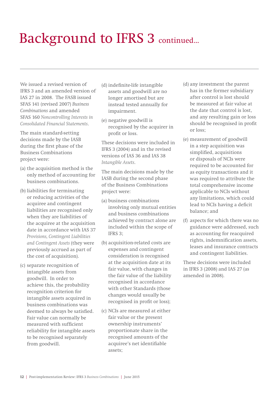# Background to IFRS 3 continued...

We issued a revised version of IFRS 3 and an amended version of IAS 27 in 2008. The FASB issued SFAS 141 (revised 2007) *Business Combinations* and amended SFAS 160 *Noncontrolling Interests in Consolidated Financial Statements*.

The main standard-setting decisions made by the IASB during the first phase of the Business Combinations project were:

- (a) the acquisition method is the only method of accounting for business combinations.
- (b) liabilities for terminating or reducing activities of the acquiree and contingent liabilities are recognised only when they are liabilities of the acquiree at the acquisition date in accordance with IAS 37 *Provisions, Contingent Liabilities and Contingent Assets* (they were previously accrued as part of the cost of acquisition).
- (c) separate recognition of intangible assets from goodwill. In order to achieve this, the probability recognition criterion for intangible assets acquired in business combinations was deemed to always be satisfied. Fair value can normally be measured with sufficient reliability for intangible assets to be recognised separately from goodwill.
- (d) indefinite-life intangible assets and goodwill are no longer amortised but are instead tested annually for impairment.
- (e) negative goodwill is recognised by the acquirer in profit or loss.

These decisions were included in IFRS 3 (2004) and in the revised versions of IAS 36 and IAS 38 *Intangible Assets*.

The main decisions made by the IASB during the second phase of the Business Combinations project were:

- (a) business combinations involving only mutual entities and business combinations achieved by contract alone are included within the scope of IFRS 3;
- (b) acquisition-related costs are expenses and contingent consideration is recognised at the acquisition date at its fair value, with changes in the fair value of the liability recognised in accordance with other Standards (those changes would usually be recognised in profit or loss);
- (c) NCIs are measured at either fair value or the present ownership instruments' proportionate share in the recognised amounts of the acquiree's net identifiable assets;
- (d) any investment the parent has in the former subsidiary after control is lost should be measured at fair value at the date that control is lost, and any resulting gain or loss should be recognised in profit or loss;
- (e) measurement of goodwill in a step acquisition was simplified, acquisitions or disposals of NCIs were required to be accounted for as equity transactions and it was required to attribute the total comprehensive income applicable to NCIs without any limitations, which could lead to NCIs having a deficit balance; and
- (f) aspects for which there was no guidance were addressed, such as accounting for reacquired rights, indemnification assets, leases and insurance contracts and contingent liabilities.

These decisions were included in IFRS 3 (2008) and IAS 27 (as amended in 2008).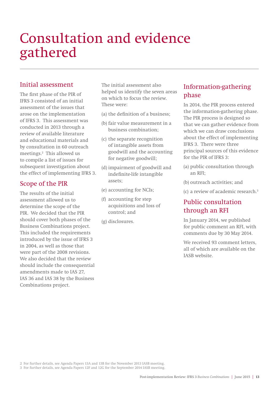## Consultation and evidence gathered

#### Initial assessment

The first phase of the PIR of IFRS 3 consisted of an initial assessment of the issues that arose on the implementation of IFRS 3. This assessment was conducted in 2013 through a review of available literature and educational materials and by consultation in 60 outreach meetings.2 This allowed us to compile a list of issues for subsequent investigation about the effect of implementing IFRS 3.

#### Scope of the PIR

The results of the initial assessment allowed us to determine the scope of the PIR. We decided that the PIR should cover both phases of the Business Combinations project. This included the requirements introduced by the issue of IFRS 3 in 2004, as well as those that were part of the 2008 revisions. We also decided that the review should include the consequential amendments made to IAS 27, IAS 36 and IAS 38 by the Business Combinations project.

The initial assessment also helped us identify the seven areas on which to focus the review. These were:

- (a) the definition of a business;
- (b) fair value measurement in a business combination;
- (c) the separate recognition of intangible assets from goodwill and the accounting for negative goodwill;
- (d) impairment of goodwill and indefinite-life intangible assets;
- (e) accounting for NCIs;
- (f) accounting for step acquisitions and loss of control; and
- (g) disclosures.

### Information-gathering phase

In 2014, the PIR process entered the information-gathering phase. The PIR process is designed so that we can gather evidence from which we can draw conclusions about the effect of implementing IFRS 3. There were three principal sources of this evidence for the PIR of IFRS 3:

- (a) public consultation through an RFI;
- (b) outreach activities; and
- (c) a review of academic research.3

### Public consultation through an RFI

In January 2014, we published for public comment an RFI, with comments due by 30 May 2014.

We received 93 comment letters, all of which are available on the IASB website.

2 For further details, see Agenda Papers 13A and 13B for the November 2013 IASB meeting.

3 For further details, see Agenda Papers 12F and 12G for the September 2014 IASB meeting.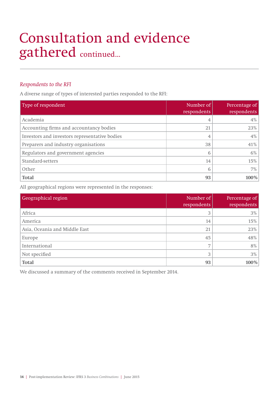## Consultation and evidence gathered continued...

#### *Respondents to the RFI*

A diverse range of types of interested parties responded to the RFI:

| Type of respondent                            | Number of<br>respondents | Percentage of<br>respondents |
|-----------------------------------------------|--------------------------|------------------------------|
| Academia                                      | 4                        | $4\%$                        |
| Accounting firms and accountancy bodies       | 21                       | 23%                          |
| Investors and investors representative bodies | 4                        | $4\%$                        |
| Preparers and industry organisations          | 38                       | 41%                          |
| Regulators and government agencies            | 6                        | $6\%$                        |
| Standard-setters                              | 14                       | 15%                          |
| Other                                         | 6                        | 7%                           |
| <b>Total</b>                                  | 93                       | 100%                         |

All geographical regions were represented in the responses:

| Geographical region           | Number of<br>respondents | Percentage of<br>respondents |
|-------------------------------|--------------------------|------------------------------|
| Africa                        | 3                        | $3\%$                        |
| America                       | 14                       | 15%                          |
| Asia, Oceania and Middle East | 21                       | 23%                          |
| Europe                        | 45                       | 48%                          |
| International                 | $\overline{ }$           | 8%                           |
| Not specified                 | 3                        | $3\%$                        |
| <b>Total</b>                  | 93                       | 100%                         |

We discussed a summary of the comments received in September 2014.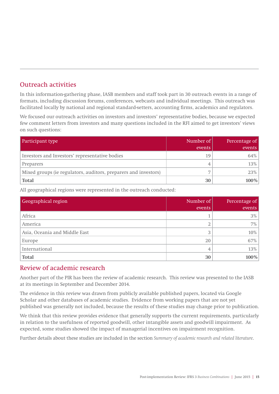#### Outreach activities

In this information-gathering phase, IASB members and staff took part in 30 outreach events in a range of formats, including discussion forums, conferences, webcasts and individual meetings. This outreach was facilitated locally by national and regional standard-setters, accounting firms, academics and regulators.

We focused our outreach activities on investors and investors' representative bodies, because we expected few comment letters from investors and many questions included in the RFI aimed to get investors' views on such questions:

| Participant type                                                | Number of<br>events | Percentage of<br>events |
|-----------------------------------------------------------------|---------------------|-------------------------|
|                                                                 |                     |                         |
| Investors and Investors' representative bodies                  | 19                  | 64%                     |
| <b>Preparers</b>                                                |                     | 13%                     |
| Mixed groups (ie regulators, auditors, preparers and investors) |                     | 23%                     |
| <b>Total</b>                                                    |                     | 100%                    |

All geographical regions were represented in the outreach conducted:

| Geographical region           | Number of<br>events | Percentage of<br>events |
|-------------------------------|---------------------|-------------------------|
|                               |                     |                         |
| Africa                        |                     | $3\%$                   |
| America                       |                     | $7\%$                   |
| Asia, Oceania and Middle East | 3                   | 10%                     |
| Europe                        | 20                  | 67%                     |
| International                 | 4                   | 13%                     |
| <b>Total</b>                  | 30                  | 100%                    |

#### Review of academic research

Another part of the PIR has been the review of academic research. This review was presented to the IASB at its meetings in September and December 2014.

The evidence in this review was drawn from publicly available published papers, located via Google Scholar and other databases of academic studies. Evidence from working papers that are not yet published was generally not included, because the results of these studies may change prior to publication.

We think that this review provides evidence that generally supports the current requirements, particularly in relation to the usefulness of reported goodwill, other intangible assets and goodwill impairment. As expected, some studies showed the impact of managerial incentives on impairment recognition.

Further details about these studies are included in the section *Summary of academic research and related literature*.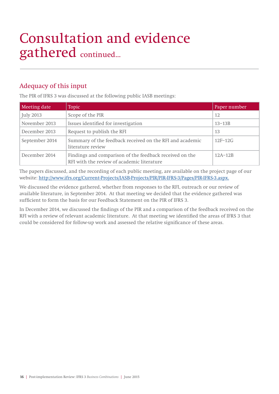## Consultation and evidence gathered continued...

### Adequacy of this input

The PIR of IFRS 3 was discussed at the following public IASB meetings:

| Meeting date     | <b>Topic</b>                                                                                          | Paper number |
|------------------|-------------------------------------------------------------------------------------------------------|--------------|
| <b>July 2013</b> | Scope of the PIR                                                                                      | 12           |
| November 2013    | Issues identified for investigation                                                                   | $13 - 13B$   |
| December 2013    | Request to publish the RFI                                                                            | 13           |
| September 2014   | Summary of the feedback received on the RFI and academic<br>literature review                         | $12F-12G$    |
| December 2014    | Findings and comparison of the feedback received on the<br>RFI with the review of academic literature | $12A-12B$    |

The papers discussed, and the recording of each public meeting, are available on the project page of our website: http://www.ifrs.org/Current-Projects/IASB-Projects/PIR/PIR-IFRS-3/Pages/PIR-IFRS-3.aspx.

We discussed the evidence gathered, whether from responses to the RFI, outreach or our review of available literature, in September 2014. At that meeting we decided that the evidence gathered was sufficient to form the basis for our Feedback Statement on the PIR of IFRS 3.

In December 2014, we discussed the findings of the PIR and a comparison of the feedback received on the RFI with a review of relevant academic literature. At that meeting we identified the areas of IFRS 3 that could be considered for follow-up work and assessed the relative significance of these areas.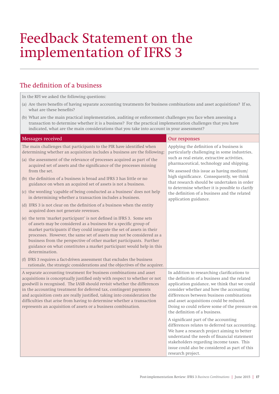### Feedback Statement on the implementation of IFRS 3

### The definition of a business

- (a) Are there benefits of having separate accounting treatments for business combinations and asset acquisitions? If so, what are these benefits?
- (b) What are the main practical implementation, auditing or enforcement challenges you face when assessing a transaction to determine whether it is a business? For the practical implementation challenges that you have indicated, what are the main considerations that you take into account in your assessment?

| Messages received                                                                                                                                                                                                                                                                                                                                                                                                                                                                                                                                                                                                                                                                                                                                                                                                                                                                                                                                                                                                                                                                                                                                                                                                                                                                                                                                         | Our responses                                                                                                                                                                                                                                                                                                                                                                                                                                                                                                                                                                                                                                                                    |
|-----------------------------------------------------------------------------------------------------------------------------------------------------------------------------------------------------------------------------------------------------------------------------------------------------------------------------------------------------------------------------------------------------------------------------------------------------------------------------------------------------------------------------------------------------------------------------------------------------------------------------------------------------------------------------------------------------------------------------------------------------------------------------------------------------------------------------------------------------------------------------------------------------------------------------------------------------------------------------------------------------------------------------------------------------------------------------------------------------------------------------------------------------------------------------------------------------------------------------------------------------------------------------------------------------------------------------------------------------------|----------------------------------------------------------------------------------------------------------------------------------------------------------------------------------------------------------------------------------------------------------------------------------------------------------------------------------------------------------------------------------------------------------------------------------------------------------------------------------------------------------------------------------------------------------------------------------------------------------------------------------------------------------------------------------|
| The main challenges that participants to the PIR have identified when<br>determining whether an acquisition includes a business are the following:<br>(a) the assessment of the relevance of processes acquired as part of the<br>acquired set of assets and the significance of the processes missing<br>from the set.<br>(b) the definition of a business is broad and IFRS 3 has little or no<br>guidance on when an acquired set of assets is not a business.<br>(c) the wording 'capable of being conducted as a business' does not help<br>in determining whether a transaction includes a business.<br>(d) IFRS 3 is not clear on the definition of a business when the entity<br>acquired does not generate revenues.<br>(e) the term 'market participant' is not defined in IFRS 3. Some sets<br>of assets may be considered as a business for a specific group of<br>market participants if they could integrate the set of assets in their<br>processes. However, the same set of assets may not be considered as a<br>business from the perspective of other market participants. Further<br>guidance on what constitutes a market participant would help in this<br>determination.<br>(f) IFRS 3 requires a fact-driven assessment that excludes the business<br>rationale, the strategic considerations and the objectives of the acquirer. | Applying the definition of a business is<br>particularly challenging in some industries,<br>such as real estate, extractive activities,<br>pharmaceutical, technology and shipping.<br>We assessed this issue as having medium/<br>high significance. Consequently, we think<br>that research should be undertaken in order<br>to determine whether it is possible to clarify<br>the definition of a business and the related<br>application guidance.                                                                                                                                                                                                                           |
| A separate accounting treatment for business combinations and asset<br>acquisitions is conceptually justified only with respect to whether or not<br>goodwill is recognised. The IASB should revisit whether the differences<br>in the accounting treatment for deferred tax, contingent payments<br>and acquisition costs are really justified, taking into consideration the<br>difficulties that arise from having to determine whether a transaction<br>represents an acquisition of assets or a business combination.                                                                                                                                                                                                                                                                                                                                                                                                                                                                                                                                                                                                                                                                                                                                                                                                                                | In addition to researching clarifications to<br>the definition of a business and the related<br>application guidance, we think that we could<br>consider whether and how the accounting<br>differences between business combinations<br>and asset acquisitions could be reduced.<br>Doing so could relieve some of the pressure on<br>the definition of a business.<br>A significant part of the accounting<br>differences relates to deferred tax accounting.<br>We have a research project aiming to better<br>understand the needs of financial statement<br>stakeholders regarding income taxes. This<br>issue could also be considered as part of this<br>research project. |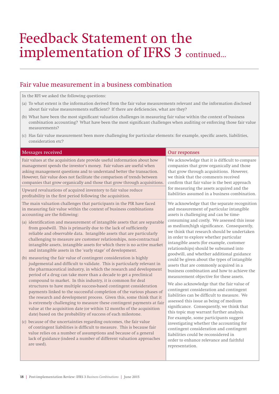### Feedback Statement on the implementation of IFRS 3 continued...

#### Fair value measurement in a business combination

- (a) To what extent is the information derived from the fair value measurements relevant and the information disclosed about fair value measurements sufficient? If there are deficiencies, what are they?
- (b) What have been the most significant valuation challenges in measuring fair value within the context of business combination accounting? What have been the most significant challenges when auditing or enforcing those fair value measurements?
- (c) Has fair value measurement been more challenging for particular elements: for example, specific assets, liabilities, consideration etc?

| Messages received                                                                                                                                                                                                                                                                                                                                                                                                                                                                                                                                                                                                                                                                                                                                                                                                                                                                                                                                                                                                                                                                                                                                                                                                                                                                                                                                                                                                                                                                                                                                                                                                                                                                                                                       | Our responses                                                                                                                                                                                                                                                                                                                                                                                                                                                                                                                                                                                                                                                                                                                                                                                                                                                                                                                                                                                                                                                                                                                                                      |  |
|-----------------------------------------------------------------------------------------------------------------------------------------------------------------------------------------------------------------------------------------------------------------------------------------------------------------------------------------------------------------------------------------------------------------------------------------------------------------------------------------------------------------------------------------------------------------------------------------------------------------------------------------------------------------------------------------------------------------------------------------------------------------------------------------------------------------------------------------------------------------------------------------------------------------------------------------------------------------------------------------------------------------------------------------------------------------------------------------------------------------------------------------------------------------------------------------------------------------------------------------------------------------------------------------------------------------------------------------------------------------------------------------------------------------------------------------------------------------------------------------------------------------------------------------------------------------------------------------------------------------------------------------------------------------------------------------------------------------------------------------|--------------------------------------------------------------------------------------------------------------------------------------------------------------------------------------------------------------------------------------------------------------------------------------------------------------------------------------------------------------------------------------------------------------------------------------------------------------------------------------------------------------------------------------------------------------------------------------------------------------------------------------------------------------------------------------------------------------------------------------------------------------------------------------------------------------------------------------------------------------------------------------------------------------------------------------------------------------------------------------------------------------------------------------------------------------------------------------------------------------------------------------------------------------------|--|
| Fair values at the acquisition date provide useful information about how                                                                                                                                                                                                                                                                                                                                                                                                                                                                                                                                                                                                                                                                                                                                                                                                                                                                                                                                                                                                                                                                                                                                                                                                                                                                                                                                                                                                                                                                                                                                                                                                                                                                | We acknowledge that it is difficult to compare                                                                                                                                                                                                                                                                                                                                                                                                                                                                                                                                                                                                                                                                                                                                                                                                                                                                                                                                                                                                                                                                                                                     |  |
| management spends the investor's money. Fair values are useful when                                                                                                                                                                                                                                                                                                                                                                                                                                                                                                                                                                                                                                                                                                                                                                                                                                                                                                                                                                                                                                                                                                                                                                                                                                                                                                                                                                                                                                                                                                                                                                                                                                                                     | companies that grow organically and those                                                                                                                                                                                                                                                                                                                                                                                                                                                                                                                                                                                                                                                                                                                                                                                                                                                                                                                                                                                                                                                                                                                          |  |
| asking management questions and to understand better the transaction.                                                                                                                                                                                                                                                                                                                                                                                                                                                                                                                                                                                                                                                                                                                                                                                                                                                                                                                                                                                                                                                                                                                                                                                                                                                                                                                                                                                                                                                                                                                                                                                                                                                                   | that grow through acquisitions. However,                                                                                                                                                                                                                                                                                                                                                                                                                                                                                                                                                                                                                                                                                                                                                                                                                                                                                                                                                                                                                                                                                                                           |  |
| However, fair value does not facilitate the comparison of trends between                                                                                                                                                                                                                                                                                                                                                                                                                                                                                                                                                                                                                                                                                                                                                                                                                                                                                                                                                                                                                                                                                                                                                                                                                                                                                                                                                                                                                                                                                                                                                                                                                                                                | we think that the comments received                                                                                                                                                                                                                                                                                                                                                                                                                                                                                                                                                                                                                                                                                                                                                                                                                                                                                                                                                                                                                                                                                                                                |  |
| companies that grow organically and those that grow through acquisitions.                                                                                                                                                                                                                                                                                                                                                                                                                                                                                                                                                                                                                                                                                                                                                                                                                                                                                                                                                                                                                                                                                                                                                                                                                                                                                                                                                                                                                                                                                                                                                                                                                                                               | confirm that fair value is the best approach                                                                                                                                                                                                                                                                                                                                                                                                                                                                                                                                                                                                                                                                                                                                                                                                                                                                                                                                                                                                                                                                                                                       |  |
| Upward revaluations of acquired inventory to fair value reduce                                                                                                                                                                                                                                                                                                                                                                                                                                                                                                                                                                                                                                                                                                                                                                                                                                                                                                                                                                                                                                                                                                                                                                                                                                                                                                                                                                                                                                                                                                                                                                                                                                                                          | for measuring the assets acquired and the                                                                                                                                                                                                                                                                                                                                                                                                                                                                                                                                                                                                                                                                                                                                                                                                                                                                                                                                                                                                                                                                                                                          |  |
| profitability in the first period following the acquisition.                                                                                                                                                                                                                                                                                                                                                                                                                                                                                                                                                                                                                                                                                                                                                                                                                                                                                                                                                                                                                                                                                                                                                                                                                                                                                                                                                                                                                                                                                                                                                                                                                                                                            | liabilities assumed in a business combination.                                                                                                                                                                                                                                                                                                                                                                                                                                                                                                                                                                                                                                                                                                                                                                                                                                                                                                                                                                                                                                                                                                                     |  |
| The main valuation challenges that participants in the PIR have faced<br>in measuring fair value within the context of business combinations<br>accounting are the following:<br>(a) identification and measurement of intangible assets that are separable<br>from goodwill. This is primarily due to the lack of sufficiently<br>reliable and observable data. Intangible assets that are particularly<br>challenging to measure are customer relationships, non-contractual<br>intangible assets, intangible assets for which there is no active market<br>and intangible assets in the 'early stage' of development.<br>(b) measuring the fair value of contingent consideration is highly<br>judgemental and difficult to validate. This is particularly relevant in<br>the pharmaceutical industry, in which the research and development<br>period of a drug can take more than a decade to get a preclinical<br>compound to market. In this industry, it is common for deal<br>structures to have multiple success-based contingent consideration<br>payments linked to the successful completion of the various phases of<br>the research and development process. Given this, some think that it<br>is extremely challenging to measure these contingent payments at fair<br>value at the acquisition date (or within 12 months of the acquisition<br>date) based on the probability of success of each milestone.<br>(c) because of the uncertainties regarding outcomes, the fair value<br>of contingent liabilities is difficult to measure. This is because fair<br>value relies on a number of assumptions and because of a general<br>lack of guidance (indeed a number of different valuation approaches<br>are used). | We acknowledge that the separate recognition<br>and measurement of particular intangible<br>assets is challenging and can be time-<br>consuming and costly. We assessed this issue<br>as medium/high significance. Consequently,<br>we think that research should be undertaken<br>in order to explore whether particular<br>intangible assets (for example, customer<br>relationships) should be subsumed into<br>goodwill, and whether additional guidance<br>could be given about the types of intangible<br>assets that are commonly acquired in a<br>business combination and how to achieve the<br>measurement objective for these assets.<br>We also acknowledge that the fair value of<br>contingent consideration and contingent<br>liabilities can be difficult to measure. We<br>assessed this issue as being of medium<br>significance. Consequently, we think that<br>this topic may warrant further analysis.<br>For example, some participants suggest<br>investigating whether the accounting for<br>contingent consideration and contingent<br>liabilities could be reconsidered in<br>order to enhance relevance and faithful<br>representation. |  |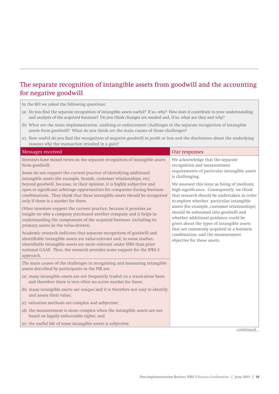### The separate recognition of intangible assets from goodwill and the accounting for negative goodwill

In the RFI we asked the following questions:

- (a) Do you find the separate recognition of intangible assets useful? If so, why? How does it contribute to your understanding and analysis of the acquired business? Do you think changes are needed and, if so, what are they and why?
- (b) What are the main implementation, auditing or enforcement challenges in the separate recognition of intangible assets from goodwill? What do you think are the main causes of those challenges?
- (c) How useful do you find the recognition of negative goodwill in profit or loss and the disclosures about the underlying reasons why the transaction resulted in a gain?

| Messages received                                                                                                                                                                                                                                                                                                                                                                                                                                                                                                                                                                 | Our responses                                                                                                                                                                                                                                                                                                            |
|-----------------------------------------------------------------------------------------------------------------------------------------------------------------------------------------------------------------------------------------------------------------------------------------------------------------------------------------------------------------------------------------------------------------------------------------------------------------------------------------------------------------------------------------------------------------------------------|--------------------------------------------------------------------------------------------------------------------------------------------------------------------------------------------------------------------------------------------------------------------------------------------------------------------------|
| Investors have mixed views on the separate recognition of intangible assets<br>from goodwill.<br>Some do not support the current practice of identifying additional<br>intangible assets (for example, brands, customer relationships, etc)<br>beyond goodwill, because, in their opinion, it is highly subjective and<br>open to significant arbitrage opportunities for companies during business<br>combinations. They think that these intangible assets should be recognised<br>only if there is a market for them.                                                          | We acknowledge that the separate<br>recognition and measurement<br>requirements of particular intangible assets<br>is challenging.<br>We assessed this issue as being of medium/<br>high significance. Consequently, we think<br>that research should be undertaken in order<br>to explore whether particular intangible |
| Other investors support the current practice, because it provides an<br>insight on why a company purchased another company and it helps in<br>understanding the components of the acquired business, including its<br>primary assets (ie the value-drivers).<br>Academic research indicates that separate recognition of goodwill and<br>identifiable intangible assets are value-relevant and, in some studies,<br>identifiable intangible assets are more relevant under IFRS than prior<br>national GAAP. Thus, the research provides some support for the IFRS 3<br>approach. | assets (for example, customer relationships)<br>should be subsumed into goodwill and<br>whether additional guidance could be<br>given about the types of intangible assets<br>that are commonly acquired in a business<br>combination, and the measurement<br>objective for these assets.                                |
| The main causes of the challenges in recognising and measuring intangible<br>assets described by participants in the PIR are:                                                                                                                                                                                                                                                                                                                                                                                                                                                     |                                                                                                                                                                                                                                                                                                                          |
| (a) many intangible assets are not frequently traded on a stand-alone basis<br>and therefore there is very often no active market for them;                                                                                                                                                                                                                                                                                                                                                                                                                                       |                                                                                                                                                                                                                                                                                                                          |
| (b) many intangible assets are unique and it is therefore not easy to identify<br>and assess their value;                                                                                                                                                                                                                                                                                                                                                                                                                                                                         |                                                                                                                                                                                                                                                                                                                          |
| (c) valuation methods are complex and subjective;                                                                                                                                                                                                                                                                                                                                                                                                                                                                                                                                 |                                                                                                                                                                                                                                                                                                                          |
| (d) the measurement is more complex when the intangible assets are not<br>based on legally enforceable rights; and                                                                                                                                                                                                                                                                                                                                                                                                                                                                |                                                                                                                                                                                                                                                                                                                          |
| (e) the useful life of some intangible assets is subjective.                                                                                                                                                                                                                                                                                                                                                                                                                                                                                                                      |                                                                                                                                                                                                                                                                                                                          |

*continued...*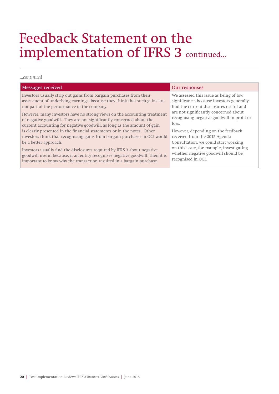### Feedback Statement on the implementation of IFRS 3 continued...

*...continued*

| Messages received                                                              | Our responses                              |
|--------------------------------------------------------------------------------|--------------------------------------------|
| Investors usually strip out gains from bargain purchases from their            | We assessed this issue as being of low     |
| assessment of underlying earnings, because they think that such gains are      | significance, because investors generally  |
| not part of the performance of the company.                                    | find the current disclosures useful and    |
| However, many investors have no strong views on the accounting treatment       | are not significantly concerned about      |
| of negative goodwill. They are not significantly concerned about the           | recognising negative goodwill in profit or |
| current accounting for negative goodwill, as long as the amount of gain        | loss.                                      |
| is clearly presented in the financial statements or in the notes. Other        | However, depending on the feedback         |
| investors think that recognising gains from bargain purchases in OCI would     | received from the 2015 Agenda              |
| be a better approach.                                                          | Consultation, we could start working       |
| Investors usually find the disclosures required by IFRS 3 about negative       | on this issue, for example, investigating  |
| goodwill useful because, if an entity recognises negative goodwill, then it is | whether negative goodwill should be        |
| important to know why the transaction resulted in a bargain purchase.          | recognised in OCI.                         |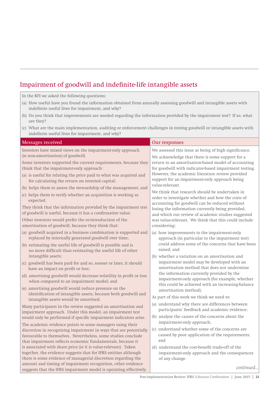### Impairment of goodwill and indefinite-life intangible assets

- (a) How useful have you found the information obtained from annually assessing goodwill and intangible assets with indefinite useful lives for impairment, and why?
- (b) Do you think that improvements are needed regarding the information provided by the impairment test? If so, what are they?
- (c) What are the main implementation, auditing or enforcement challenges in testing goodwill or intangible assets with indefinite useful lives for impairment, and why?

| Messages received                                                                                                                                                                                                                                             | Our responses                                                                                                                                    |
|---------------------------------------------------------------------------------------------------------------------------------------------------------------------------------------------------------------------------------------------------------------|--------------------------------------------------------------------------------------------------------------------------------------------------|
| Investors have mixed views on the impairment-only approach                                                                                                                                                                                                    | We assessed this issue as being of high significance.                                                                                            |
| (ie non-amortisation) of goodwill.                                                                                                                                                                                                                            | We acknowledge that there is some support for a                                                                                                  |
| Some investors supported the current requirements, because they                                                                                                                                                                                               | return to an amortisation-based model of accounting                                                                                              |
| think that the impairment-only approach:                                                                                                                                                                                                                      | for goodwill with indicator-based impairment testing.                                                                                            |
| (a) is useful for relating the price paid to what was acquired and                                                                                                                                                                                            | However, the academic literature review provided                                                                                                 |
| for calculating the return on invested capital;                                                                                                                                                                                                               | support for an impairment-only approach being                                                                                                    |
| (b) helps them to assess the stewardship of the management; and                                                                                                                                                                                               | value-relevant.<br>We think that research should be undertaken in                                                                                |
| (c) helps them to verify whether an acquisition is working as                                                                                                                                                                                                 | order to investigate whether and how the costs of                                                                                                |
| expected.                                                                                                                                                                                                                                                     | accounting for goodwill can be reduced without                                                                                                   |
| They think that the information provided by the impairment test                                                                                                                                                                                               | losing the information currently being provided,                                                                                                 |
| of goodwill is useful, because it has a confirmative value.                                                                                                                                                                                                   | and which our review of academic studies suggested                                                                                               |
| Other investors would prefer the re-introduction of the                                                                                                                                                                                                       | was value-relevant. We think that this could include                                                                                             |
| amortisation of goodwill, because they think that:                                                                                                                                                                                                            | considering:                                                                                                                                     |
| (a) goodwill acquired in a business combination is supported and                                                                                                                                                                                              | (a) how improvements to the impairment-only                                                                                                      |
| replaced by internally generated goodwill over time;                                                                                                                                                                                                          | approach (in particular to the impairment test)                                                                                                  |
| (b) estimating the useful life of goodwill is possible and is                                                                                                                                                                                                 | could address some of the concerns that have been                                                                                                |
| no more difficult than estimating the useful life of other                                                                                                                                                                                                    | raised; and                                                                                                                                      |
| intangible assets;                                                                                                                                                                                                                                            | (b) whether a variation on an amortisation and                                                                                                   |
| (c) goodwill has been paid for and so, sooner or later, it should                                                                                                                                                                                             | impairment model may be developed with an                                                                                                        |
| have an impact on profit or loss;                                                                                                                                                                                                                             | amortisation method that does not undermine                                                                                                      |
| (d) amortising goodwill would decrease volatility in profit or loss<br>when compared to an impairment model; and                                                                                                                                              | the information currently provided by the<br>impairment-only approach (for example, whether<br>this could be achieved with an increasing-balance |
| (e) amortising goodwill would reduce pressure on the<br>identification of intangible assets, because both goodwill and                                                                                                                                        | amortisation method).                                                                                                                            |
| intangible assets would be amortised.                                                                                                                                                                                                                         | As part of this work we think we need to:                                                                                                        |
| Many participants in the review suggested an amortisation and                                                                                                                                                                                                 | (a) understand why there are differences between                                                                                                 |
| impairment approach. Under this model, an impairment test                                                                                                                                                                                                     | participants' feedback and academic evidence;                                                                                                    |
| would only be performed if specific impairment indicators arise.                                                                                                                                                                                              | (b) analyse the causes of the concerns about the<br>impairment-only approach;                                                                    |
| The academic evidence points to some managers using their<br>discretion in recognising impairment in ways that are potentially<br>favourable to themselves. Nevertheless, some studies conclude<br>that impairment reflects economic fundamentals, because it | (c) understand whether some of the concerns are<br>caused by poor application of the requirements;<br>and                                        |
| is associated with share price (ie it is value-relevant). Taken                                                                                                                                                                                               | (d) understand the cost-benefit trade-off of the                                                                                                 |
| together, the evidence suggests that for IFRS entities although                                                                                                                                                                                               | impairment-only approach and the consequences                                                                                                    |
| there is some evidence of managerial discretion regarding the                                                                                                                                                                                                 | of any change.                                                                                                                                   |
| amount and timing of impairment recognition, other evidence<br>suggests that the IFRS impairment model is operating effectively.                                                                                                                              | continued                                                                                                                                        |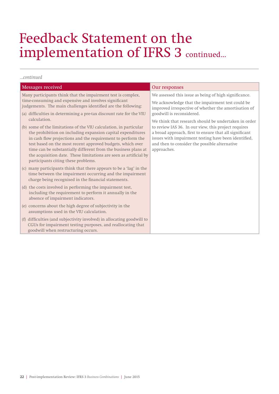### Feedback Statement on the implementation of IFRS 3 continued...

#### *...continued*

| Messages received                                                                                                                                                                                                                                                                                                                                                                                                                                                                           | Our responses                                                                                                                                                                                                                                                                                                               |
|---------------------------------------------------------------------------------------------------------------------------------------------------------------------------------------------------------------------------------------------------------------------------------------------------------------------------------------------------------------------------------------------------------------------------------------------------------------------------------------------|-----------------------------------------------------------------------------------------------------------------------------------------------------------------------------------------------------------------------------------------------------------------------------------------------------------------------------|
| Many participants think that the impairment test is complex,<br>time-consuming and expensive and involves significant<br>judgements. The main challenges identified are the following:                                                                                                                                                                                                                                                                                                      | We assessed this issue as being of high significance.<br>We acknowledge that the impairment test could be<br>improved irrespective of whether the amortisation of                                                                                                                                                           |
| (a) difficulties in determining a pre-tax discount rate for the VIU<br>calculation.<br>(b) some of the limitations of the VIU calculation, in particular<br>the prohibition on including expansion capital expenditures<br>in cash flow projections and the requirement to perform the<br>test based on the most recent approved budgets, which over<br>time can be substantially different from the business plans at<br>the acquisition date. These limitations are seen as artificial by | goodwill is reconsidered.<br>We think that research should be undertaken in order<br>to review IAS 36. In our view, this project requires<br>a broad approach, first to ensure that all significant<br>issues with impairment testing have been identified,<br>and then to consider the possible alternative<br>approaches. |
| participants citing these problems.<br>(c) many participants think that there appears to be a 'lag' in the<br>time between the impairment occurring and the impairment<br>charge being recognised in the financial statements.                                                                                                                                                                                                                                                              |                                                                                                                                                                                                                                                                                                                             |
| (d) the costs involved in performing the impairment test,<br>including the requirement to perform it annually in the<br>absence of impairment indicators.                                                                                                                                                                                                                                                                                                                                   |                                                                                                                                                                                                                                                                                                                             |
| concerns about the high degree of subjectivity in the<br>(e)<br>assumptions used in the VIU calculation.                                                                                                                                                                                                                                                                                                                                                                                    |                                                                                                                                                                                                                                                                                                                             |
| difficulties (and subjectivity involved) in allocating goodwill to<br>(f)<br>CGUs for impairment testing purposes, and reallocating that<br>goodwill when restructuring occurs.                                                                                                                                                                                                                                                                                                             |                                                                                                                                                                                                                                                                                                                             |
|                                                                                                                                                                                                                                                                                                                                                                                                                                                                                             |                                                                                                                                                                                                                                                                                                                             |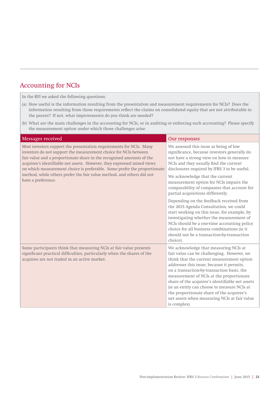#### Accounting for NCIs

- (a) How useful is the information resulting from the presentation and measurement requirements for NCIs? Does the information resulting from those requirements reflect the claims on consolidated equity that are not attributable to the parent? If not, what improvements do you think are needed?
- (b) What are the main challenges in the accounting for NCIs, or in auditing or enforcing such accounting? Please specify the measurement option under which those challenges arise.

| Messages received                                                                                                                                                                                                                                                                                                                                                                                                                                                      | Our responses                                                                                                                                                                                                                                                                                                                                                                                                                                                                          |  |
|------------------------------------------------------------------------------------------------------------------------------------------------------------------------------------------------------------------------------------------------------------------------------------------------------------------------------------------------------------------------------------------------------------------------------------------------------------------------|----------------------------------------------------------------------------------------------------------------------------------------------------------------------------------------------------------------------------------------------------------------------------------------------------------------------------------------------------------------------------------------------------------------------------------------------------------------------------------------|--|
| Most investors support the presentation requirements for NCIs. Many<br>investors do not support the measurement choice for NCIs between<br>fair value and a proportionate share in the recognised amounts of the<br>acquiree's identifiable net assets. However, they expressed mixed views<br>on which measurement choice is preferable. Some prefer the proportionate<br>method, while others prefer the fair value method, and others did not<br>have a preference. | We assessed this issue as being of low<br>significance, because investors generally do<br>not have a strong view on how to measure<br>NCIs and they usually find the current<br>disclosures required by IFRS 3 to be useful.<br>We acknowledge that the current<br>measurement option for NCIs impairs the<br>comparability of companies that account for<br>partial acquisitions differently.<br>Depending on the feedback received from                                              |  |
|                                                                                                                                                                                                                                                                                                                                                                                                                                                                        | the 2015 Agenda Consultation, we could<br>start working on this issue, for example, by<br>investigating whether the measurement of<br>NCIs should be a one-time accounting policy<br>choice for all business combinations (ie it<br>should not be a transaction-by-transaction<br>choice).                                                                                                                                                                                             |  |
| Some participants think that measuring NCIs at fair value presents<br>significant practical difficulties, particularly when the shares of the<br>acquiree are not traded in an active market.                                                                                                                                                                                                                                                                          | We acknowledge that measuring NCIs at<br>fair value can be challenging. However, we<br>think that the current measurement option<br>addresses this issue, because it permits,<br>on a transaction-by-transaction basis, the<br>measurement of NCIs at the proportionate<br>share of the acquiree's identifiable net assets<br>(ie an entity can choose to measure NCIs at<br>the proportionate share of the acquiree's<br>net assets when measuring NCIs at fair value<br>is complex). |  |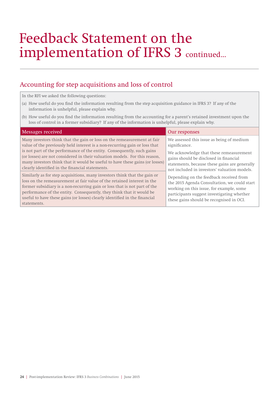### Feedback Statement on the implementation of IFRS 3 continued...

#### Accounting for step acquisitions and loss of control

- (a) How useful do you find the information resulting from the step acquisition guidance in IFRS 3? If any of the information is unhelpful, please explain why.
- (b) How useful do you find the information resulting from the accounting for a parent's retained investment upon the loss of control in a former subsidiary? If any of the information is unhelpful, please explain why.

| <b>Messages received</b>                                                                                                                                                                                                                                                                                                                                                                                                                         | Our responses                                                                                                                                                                                                                                                                                                                                                                                                                                                                     |  |
|--------------------------------------------------------------------------------------------------------------------------------------------------------------------------------------------------------------------------------------------------------------------------------------------------------------------------------------------------------------------------------------------------------------------------------------------------|-----------------------------------------------------------------------------------------------------------------------------------------------------------------------------------------------------------------------------------------------------------------------------------------------------------------------------------------------------------------------------------------------------------------------------------------------------------------------------------|--|
| Many investors think that the gain or loss on the remeasurement at fair<br>value of the previously held interest is a non-recurring gain or loss that<br>is not part of the performance of the entity. Consequently, such gains<br>(or losses) are not considered in their valuation models. For this reason,<br>many investors think that it would be useful to have these gains (or losses)<br>clearly identified in the financial statements. | We assessed this issue as being of medium<br>significance.<br>We acknowledge that these remeasurement<br>gains should be disclosed in financial<br>statements, because these gains are generally<br>not included in investors' valuation models.<br>Depending on the feedback received from<br>the 2015 Agenda Consultation, we could start<br>working on this issue, for example, some<br>participants suggest investigating whether<br>these gains should be recognised in OCI. |  |
| Similarly as for step acquisitions, many investors think that the gain or<br>loss on the remeasurement at fair value of the retained interest in the<br>former subsidiary is a non-recurring gain or loss that is not part of the<br>performance of the entity. Consequently, they think that it would be<br>useful to have these gains (or losses) clearly identified in the financial<br>statements.                                           |                                                                                                                                                                                                                                                                                                                                                                                                                                                                                   |  |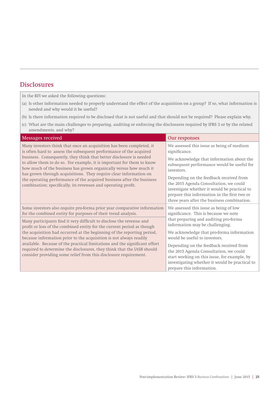#### Disclosures

- (a) Is other information needed to properly understand the effect of the acquisition on a group? If so, what information is needed and why would it be useful?
- (b) Is there information required to be disclosed that is not useful and that should not be required? Please explain why.
- (c) What are the main challenges to preparing, auditing or enforcing the disclosures required by IFRS 3 or by the related amendments, and why?

| Messages received                                                                                                                                                                                                                                                                                                                                                                                                                                                                                                                                                                                                                                                       | Our responses                                                                                                                                                                                                                                                                                                                                                                                                                                                 |  |
|-------------------------------------------------------------------------------------------------------------------------------------------------------------------------------------------------------------------------------------------------------------------------------------------------------------------------------------------------------------------------------------------------------------------------------------------------------------------------------------------------------------------------------------------------------------------------------------------------------------------------------------------------------------------------|---------------------------------------------------------------------------------------------------------------------------------------------------------------------------------------------------------------------------------------------------------------------------------------------------------------------------------------------------------------------------------------------------------------------------------------------------------------|--|
| Many investors think that once an acquisition has been completed, it<br>is often hard to assess the subsequent performance of the acquired<br>business. Consequently, they think that better disclosure is needed<br>to allow them to do so. For example, it is important for them to know<br>how much of the business has grown organically versus how much it<br>has grown through acquisitions. They require clear information on<br>the operating performance of the acquired business after the business<br>combination; specifically, its revenues and operating profit.                                                                                          | We assessed this issue as being of medium<br>significance.<br>We acknowledge that information about the<br>subsequent performance would be useful for<br>investors.<br>Depending on the feedback received from<br>the 2015 Agenda Consultation, we could<br>investigate whether it would be practical to<br>prepare this information in the first two or<br>three years after the business combination.                                                       |  |
| Some investors also require pro-forma prior year comparative information<br>for the combined entity for purposes of their trend analysis.<br>Many participants find it very difficult to disclose the revenue and<br>profit or loss of the combined entity for the current period as though<br>the acquisition had occurred at the beginning of the reporting period,<br>because information prior to the acquisition is not always readily<br>available. Because of the practical limitations and the significant effort<br>required to determine the disclosures, they think that the IASB should<br>consider providing some relief from this disclosure requirement. | We assessed this issue as being of low<br>significance. This is because we note<br>that preparing and auditing pro-forma<br>information may be challenging.<br>We acknowledge that pro-forma information<br>would be useful to investors.<br>Depending on the feedback received from<br>the 2015 Agenda Consultation, we could<br>start working on this issue, for example, by<br>investigating whether it would be practical to<br>prepare this information. |  |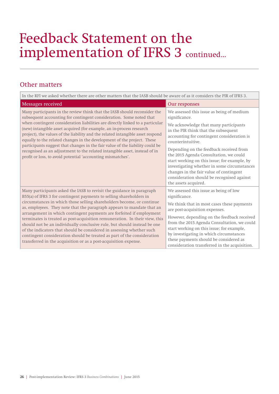## Feedback Statement on the implementation of IFRS 3 continued...

#### Other matters

| In the RFI we asked whether there are other matters that the IASB should be aware of as it considers the PIR of IFRS 3.                                                                                                                                                                                                                                                                                                                                                                                                                                                                                                                                                                                                                                    |                                                                                                                                                                                                                                                                                                                                                                                                                                                                                                                     |  |  |  |  |
|------------------------------------------------------------------------------------------------------------------------------------------------------------------------------------------------------------------------------------------------------------------------------------------------------------------------------------------------------------------------------------------------------------------------------------------------------------------------------------------------------------------------------------------------------------------------------------------------------------------------------------------------------------------------------------------------------------------------------------------------------------|---------------------------------------------------------------------------------------------------------------------------------------------------------------------------------------------------------------------------------------------------------------------------------------------------------------------------------------------------------------------------------------------------------------------------------------------------------------------------------------------------------------------|--|--|--|--|
| Messages received                                                                                                                                                                                                                                                                                                                                                                                                                                                                                                                                                                                                                                                                                                                                          | Our responses                                                                                                                                                                                                                                                                                                                                                                                                                                                                                                       |  |  |  |  |
| Many participants in the review think that the IASB should reconsider the<br>subsequent accounting for contingent consideration. Some noted that<br>when contingent consideration liabilities are directly linked to a particular<br>(new) intangible asset acquired (for example, an in-process research<br>project), the values of the liability and the related intangible asset respond<br>equally to the related changes in the development of the project. These<br>participants suggest that changes in the fair value of the liability could be<br>recognised as an adjustment to the related intangible asset, instead of in<br>profit or loss, to avoid potential 'accounting mismatches'.                                                       | We assessed this issue as being of medium<br>significance.<br>We acknowledge that many participants<br>in the PIR think that the subsequent<br>accounting for contingent consideration is<br>counterintuitive.<br>Depending on the feedback received from<br>the 2015 Agenda Consultation, we could<br>start working on this issue; for example, by<br>investigating whether in some circumstances<br>changes in the fair value of contingent<br>consideration should be recognised against<br>the assets acquired. |  |  |  |  |
| Many participants asked the IASB to revisit the guidance in paragraph<br>B55(a) of IFRS 3 for contingent payments to selling shareholders in<br>circumstances in which those selling shareholders become, or continue<br>as, employees. They note that the paragraph appears to mandate that an<br>arrangement in which contingent payments are forfeited if employment<br>terminates is treated as post-acquisition remuneration. In their view, this<br>should not be an individually conclusive rule, but should instead be one<br>of the indicators that should be considered in assessing whether such<br>contingent consideration should be treated as part of the consideration<br>transferred in the acquisition or as a post-acquisition expense. | We assessed this issue as being of low<br>significance.<br>We think that in most cases these payments<br>are post-acquisition expenses.<br>However, depending on the feedback received<br>from the 2015 Agenda Consultation, we could<br>start working on this issue; for example,<br>by investigating in which circumstances<br>these payments should be considered as<br>consideration transferred in the acquisition.                                                                                            |  |  |  |  |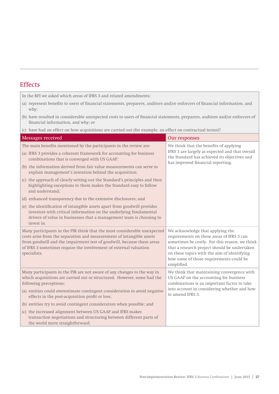#### **Effects**

In the RFI we asked which areas of IFRS 3 and related amendments:

- (a) represent benefits to users of financial statements, preparers, auditors and/or enforcers of financial information, and why;
- (b) have resulted in considerable unexpected costs to users of financial statements, preparers, auditors and/or enforcers of financial information, and why; or

| (c) have had an effect on how acquisitions are carried out (for example, an effect on contractual terms)? |  |  |  |
|-----------------------------------------------------------------------------------------------------------|--|--|--|
|                                                                                                           |  |  |  |
|                                                                                                           |  |  |  |
|                                                                                                           |  |  |  |

| Messages received                                                                                                                                                                                                                                                                                               | Our responses                                                                                                                                                                                                                                                                            |  |  |
|-----------------------------------------------------------------------------------------------------------------------------------------------------------------------------------------------------------------------------------------------------------------------------------------------------------------|------------------------------------------------------------------------------------------------------------------------------------------------------------------------------------------------------------------------------------------------------------------------------------------|--|--|
| The main benefits mentioned by the participants in the review are:<br>(a) IFRS 3 provides a coherent framework for accounting for business<br>combinations that is converged with US GAAP;                                                                                                                      | We think that the benefits of applying<br>IFRS 3 are largely as expected and that overall<br>the Standard has achieved its objectives and                                                                                                                                                |  |  |
| (b) the information derived from fair value measurements can serve to<br>explain management's intention behind the acquisition;                                                                                                                                                                                 | has improved financial reporting.                                                                                                                                                                                                                                                        |  |  |
| (c) the approach of clearly setting out the Standard's principles and then<br>highlighting exceptions to them makes the Standard easy to follow<br>and understand;                                                                                                                                              |                                                                                                                                                                                                                                                                                          |  |  |
| (d) enhanced transparency due to the extensive disclosures; and                                                                                                                                                                                                                                                 |                                                                                                                                                                                                                                                                                          |  |  |
| (e) the identification of intangible assets apart from goodwill provides<br>investors with critical information on the underlying fundamental<br>drivers of value in businesses that a management team is choosing to<br>invest in.                                                                             |                                                                                                                                                                                                                                                                                          |  |  |
| Many participants in the PIR think that the most considerable unexpected<br>costs arise from the separation and measurement of intangible assets<br>from goodwill and the impairment test of goodwill, because these areas<br>of IFRS 3 sometimes require the involvement of external valuation<br>specialists. | We acknowledge that applying the<br>requirements on these areas of IFRS 3 can<br>sometimes be costly. For this reason, we think<br>that a research project should be undertaken<br>on these topics with the aim of identifying<br>how some of those requirements could be<br>simplified. |  |  |
| Many participants in the PIR are not aware of any changes to the way in<br>which acquisitions are carried out or structured. However, some had the<br>following perceptions:                                                                                                                                    | We think that maintaining convergence with<br>US GAAP on the accounting for business<br>combinations is an important factor to take                                                                                                                                                      |  |  |
| (a) entities could overestimate contingent consideration to avoid negative<br>effects in the post-acquisition profit or loss;                                                                                                                                                                                   | into account in considering whether and how<br>to amend IFRS 3.                                                                                                                                                                                                                          |  |  |
| (b) entities try to avoid contingent consideration when possible; and                                                                                                                                                                                                                                           |                                                                                                                                                                                                                                                                                          |  |  |
| (c) the increased alignment between US GAAP and IFRS makes<br>transaction negotiations and structuring between different parts of<br>the world more straightforward.                                                                                                                                            |                                                                                                                                                                                                                                                                                          |  |  |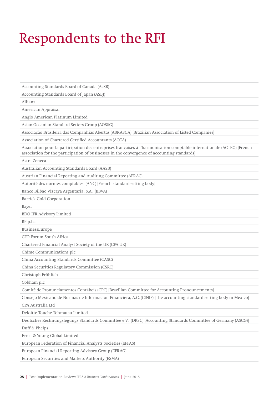## Respondents to the RFI

Accounting Standards Board of Canada (AcSB)

Accounting Standards Board of Japan (ASBJ)

Allianz

American Appraisal

Anglo American Platinum Limited

Asian-Oceanian Standard-Setters Group (AOSSG)

Associação Brasileira das Companhias Abertas (ABRASCA) [Brazilian Association of Listed Companies]

Association of Chartered Certified Accountants (ACCA)

Association pour la participation des entreprises françaises à l'harmonisation comptable internationale (ACTEO) [French association for the participation of businesses in the convergence of accounting standards]

Astra Zeneca

Australian Accounting Standards Board (AASB)

Austrian Financial Reporting and Auditing Committee (AFRAC)

Autorité des normes comptables (ANC) [French standard-setting body]

Banco Bilbao Vizcaya Argentaria, S.A. (BBVA)

Barrick Gold Corporation

Bayer

BDO IFR Advisory Limited

BP p.l.c.

BusinessEurope

CFO Forum South Africa

Chartered Financial Analyst Society of the UK (CFA UK)

Chime Communications plc

China Accounting Standards Committee (CASC)

China Securities Regulatory Commission (CSRC)

Christoph Fröhlich

Cobham plc

Comitê de Pronunciamentos Contábeis (CPC) [Brazilian Committee for Accounting Pronouncements]

Consejo Mexicano de Normas de Información Financiera, A.C. (CINIF) [The accounting standard setting body in Mexico]

CPA Australia Ltd

Deloitte Touche Tohmatsu Limited

Deutsches Rechnungslegungs Standards Committee e.V. (DRSC) [Accounting Standards Committee of Germany (ASCG)]

Duff & Phelps

Ernst & Young Global Limited

European Federation of Financial Analysts Societies (EFFAS)

European Financial Reporting Advisory Group (EFRAG)

European Securities and Markets Authority (ESMA)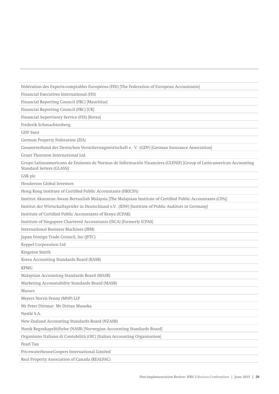Fédération des Experts-comptables Européens (FEE) [The Federation of European Accountants]

Financial Executives International (FEI)

Financial Reporting Council (FRC) [Mauritius]

Financial Reporting Council (FRC) [UK]

Financial Supervisory Service (FSS) [Korea]

Frederik Schmachtenberg

GDF Suez

German Property Federation (ZIA)

Gesamtverband der Deutschen Versicherungswirtschaft e. V. (GDV) [German Insurance Association]

Grant Thornton International Ltd

Grupo Latinoamericano de Emisores de Normas de Información Financiera (GLENIF) [Group of Latin-american Accounting Standard Setters (GLASS)]

GSK plc

Henderson Global Investors

Hong Kong Institute of Certified Public Accountants (HKICPA)

Institut Akauntan Awam Bertauliah Malaysia [The Malaysian Institute of Certified Public Accountants (CPA)]

Institut der Wirtschaftsprüfer in Deutschland e.V. (IDW) [Institute of Public Auditors in Germany]

Institute of Certified Public Accountants of Kenya (ICPAK)

Institute of Singapore Chartered Accountants (ISCA) [Formerly ICPAS]

International Business Machines (IBM)

Japan Foreign Trade Council, Inc (JFTC)

Keppel Corporation Ltd

Kingston Smith

Korea Accounting Standards Board (KASB)

KPMG

Malaysian Accounting Standards Board (MASB)

Marketing Accountability Standards Board (MASB)

Mazars

Meyers Norris Penny (MNP) LLP

Mr Peter Dittmar Mr Dritan Muneka

Nestlé S.A.

New Zealand Accounting Standards Board (NZASB)

Norsk RegnskapsStiftelse (NASB) [Norwegian Accounting Standards Board]

Organismo Italiano di Contabilità (OIC) [Italian Accounting Organisation]

Pearl Tan

PricewaterhouseCoopers International Limited

Real Property Association of Canada (REALPAC)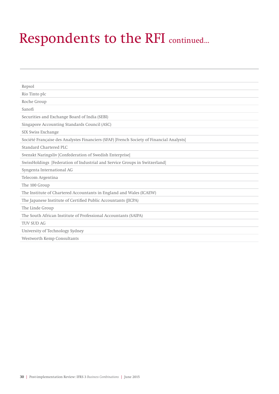# Respondents to the RFI continued...

| Repsol                                                                                   |
|------------------------------------------------------------------------------------------|
| Rio Tinto plc                                                                            |
| Roche Group                                                                              |
| Sanofi                                                                                   |
| Securities and Exchange Board of India (SEBI)                                            |
| Singapore Accounting Standards Council (ASC)                                             |
| SIX Swiss Exchange                                                                       |
| Société Française des Analystes Financiers (SFAF) [French Society of Financial Analysts] |
| Standard Chartered PLC                                                                   |
| Svenskt Naringsliv [Confederation of Swedish Enterprise]                                 |
| SwissHoldings [Federation of Industrial and Service Groups in Switzerland]               |
| Syngenta International AG                                                                |
| Telecom Argentina                                                                        |
| The 100 Group                                                                            |
| The Institute of Chartered Accountants in England and Wales (ICAEW)                      |
| The Japanese Institute of Certified Public Accountants (JICPA)                           |
| The Linde Group                                                                          |
| The South African Institute of Professional Accountants (SAIPA)                          |
| TUV SUD AG                                                                               |
| University of Technology Sydney                                                          |
| Westworth Kemp Consultants                                                               |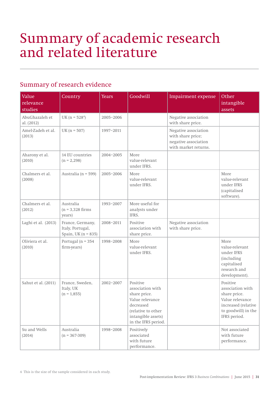### Summary of academic research and related literature

### Summary of research evidence

| Value<br>relevance<br>studies | Country                                                       | Years         | Goodwill                                                                                                                                        | <b>Impairment expense</b>                                                                 | Other<br>intangible<br>assets                                                                                                 |
|-------------------------------|---------------------------------------------------------------|---------------|-------------------------------------------------------------------------------------------------------------------------------------------------|-------------------------------------------------------------------------------------------|-------------------------------------------------------------------------------------------------------------------------------|
| AbuGhazaleh et<br>al. (2012)  | $UK (n = 5284)$                                               | 2005-2006     |                                                                                                                                                 | Negative association<br>with share price.                                                 |                                                                                                                               |
| Amel-Zadeh et al.<br>(2013)   | $UK (n = 507)$                                                | 1997-2011     |                                                                                                                                                 | Negative association<br>with share price;<br>negative association<br>with market returns. |                                                                                                                               |
| Aharony et al.<br>(2010)      | 14 EU countries<br>$(n = 2,298)$                              | 2004-2005     | More<br>value-relevant<br>under IFRS.                                                                                                           |                                                                                           |                                                                                                                               |
| Chalmers et al.<br>(2008)     | Australia (n = 599)                                           | 2005-2006     | More<br>value-relevant<br>under IFRS.                                                                                                           |                                                                                           | More<br>value-relevant<br>under IFRS<br>(capitalised<br>software).                                                            |
| Chalmers et al.<br>(2012)     | Australia<br>$(n = 3,328$ firms<br>years)                     | 1993-2007     | More useful for<br>analysts under<br>IFRS.                                                                                                      |                                                                                           |                                                                                                                               |
| Laghi et al. (2013)           | France, Germany,<br>Italy, Portugal,<br>Spain, UK $(n = 835)$ | 2008-2011     | Positive<br>association with<br>share price.                                                                                                    | Negative association<br>with share price.                                                 |                                                                                                                               |
| Oliviera et al.<br>(2010)     | Portugal ( $n = 354$<br>firm-years)                           | 1998-2008     | More<br>value-relevant<br>under IFRS.                                                                                                           |                                                                                           | More<br>value-relevant<br>under IFRS<br><i>(including</i><br>capitalised<br>research and<br>development).                     |
| Sahut et al. (2011)           | France, Sweden,<br>Italy, UK<br>$(n = 1, 855)$                | $2002 - 2007$ | Positive<br>association with<br>share price.<br>Value relevance<br>decreased<br>(relative to other<br>intangible assets)<br>in the IFRS period. |                                                                                           | Positive<br>association with<br>share price.<br>Value relevance<br>increased (relative<br>to goodwill) in the<br>IFRS period. |
| Su and Wells<br>(2014)        | Australia<br>$(n = 367-309)$                                  | 1998-2008     | Positively<br>associated<br>with future<br>performance.                                                                                         |                                                                                           | Not associated<br>with future<br>performance.                                                                                 |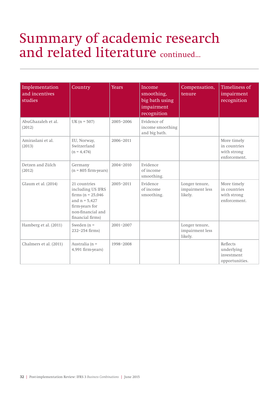### Summary of academic research and related literature continued...

| Implementation<br>and incentives<br>studies | Country                                                                                                                                 | <b>Years</b>  | Income<br>smoothing,<br>big bath using<br>impairment<br>recognition | Compensation,<br>tenure                      | <b>Timeliness of</b><br>impairment<br>recognition          |
|---------------------------------------------|-----------------------------------------------------------------------------------------------------------------------------------------|---------------|---------------------------------------------------------------------|----------------------------------------------|------------------------------------------------------------|
| AbuGhazaleh et al.<br>(2012)                | $UK (n = 507)$                                                                                                                          | 2005-2006     | Evidence of<br>income smoothing<br>and big bath.                    |                                              |                                                            |
| Amiraslani et al.<br>(2013)                 | EU, Norway,<br>Switzerland<br>$(n = 4, 474)$                                                                                            | 2006-2011     |                                                                     |                                              | More timely<br>in countries<br>with strong<br>enforcement. |
| Detzen and Zülch<br>(2012)                  | Germany<br>$(n = 805$ firm-years)                                                                                                       | 2004-2010     | Evidence<br>of income<br>smoothing.                                 |                                              |                                                            |
| Glaum et al. (2014)                         | 21 countries<br>including US IFRS<br>firms ( $n = 25,046$<br>and $n = 5,427$<br>firm-years for<br>non-financial and<br>financial firms) | $2005 - 2011$ | Evidence<br>of income<br>smoothing.                                 | Longer tenure,<br>impairment less<br>likely. | More timely<br>in countries<br>with strong<br>enforcement. |
| Hamberg et al. (2011)                       | Sweden $(n =$<br>232-254 firms)                                                                                                         | 2001-2007     |                                                                     | Longer tenure,<br>impairment less<br>likely. |                                                            |
| Chalmers et al. (2011)                      | Australia ( $n =$<br>4,991 firm-years)                                                                                                  | 1998-2008     |                                                                     |                                              | Reflects<br>underlying<br>investment<br>opportunities.     |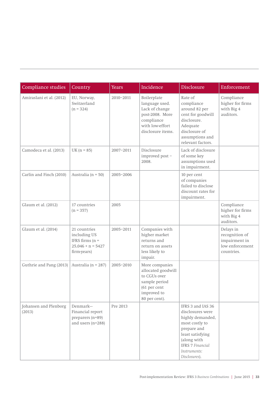| Compliance studies              | Country                                                                                 | <b>Years</b> | Incidence                                                                                                                | <b>Disclosure</b>                                                                                                                                                                         | Enforcement                                                                   |
|---------------------------------|-----------------------------------------------------------------------------------------|--------------|--------------------------------------------------------------------------------------------------------------------------|-------------------------------------------------------------------------------------------------------------------------------------------------------------------------------------------|-------------------------------------------------------------------------------|
| Amiraslani et al. (2012)        | EU, Norway,<br>Switzerland<br>$(n = 324)$                                               | 2010-2011    | Boilerplate<br>language used.<br>Lack of change<br>post-2008. More<br>compliance<br>with low-effort<br>disclosure items. | Rate of<br>compliance<br>around 82 per<br>cent for goodwill<br>disclosure.<br>Adequate<br>disclosure of<br>assumptions and<br>relevant factors.                                           | Compliance<br>higher for firms<br>with Big 4<br>auditors.                     |
| Camodeca et al. (2013)          | $UK (n = 85)$                                                                           | 2007-2011    | Disclosure<br>improved post -<br>2008.                                                                                   | Lack of disclosure<br>of some key<br>assumptions used<br>in impairment.                                                                                                                   |                                                                               |
| Carlin and Finch (2010)         | Australia ( $n = 50$ )                                                                  | 2005-2006    |                                                                                                                          | 10 per cent<br>of companies<br>failed to disclose<br>discount rates for<br>impairment.                                                                                                    |                                                                               |
| Glaum et al. (2012)             | 17 countries<br>$(n = 357)$                                                             | 2005         |                                                                                                                          |                                                                                                                                                                                           | Compliance<br>higher for firms<br>with Big 4<br>auditors.                     |
| Glaum et al. (2014)             | 21 countries<br>including US<br>IFRS firms $(n =$<br>$25,046 + n = 5427$<br>firm-years) | 2005-2011    | Companies with<br>higher market<br>returns and<br>return on assets<br>less likely to<br>impair.                          |                                                                                                                                                                                           | Delays in<br>recognition of<br>impairment in<br>low enforcement<br>countries. |
| Guthrie and Pang (2013)         | Australia ( $n = 287$ )                                                                 | 2005-2010    | More companies<br>allocated goodwill<br>to CGUs over<br>sample period<br>(61 per cent<br>improved to<br>80 per cent).    |                                                                                                                                                                                           |                                                                               |
| Johansen and Plenborg<br>(2013) | Denmark-<br>Financial report<br>preparers (n=89)<br>and users (n=288)                   | Pre 2013     |                                                                                                                          | IFRS 3 and IAS 36<br>disclosures were<br>highly demanded,<br>most costly to<br>prepare and<br>least satisfying<br>(along with<br><b>IFRS 7 Financial</b><br>Instruments:<br>Disclosures). |                                                                               |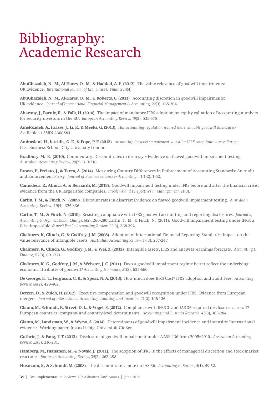### Bibliography: Academic Research

**AbuGhazaleh, N. M., Al-Hares, O. M., & Haddad, A. E. (2012)**. The value relevance of goodwill impairments: UK Evidence. *International Journal of Economics & Finance*, *4*(4).

**AbuGhazaleh, N. M., Al-Hares, O. M., & Roberts, C. (2011)**. Accounting discretion in goodwill impairments: UK evidence. *Journal of International Financial Management & Accounting, 22*(3), 165-204.

**Aharony, J., Barniv, R., & Falk, H. (2010)**. The impact of mandatory IFRS adoption on equity valuation of accounting numbers for security investors in the EU. *European Accounting Review, 19*(3), 535-578.

**Amel-Zadeh, A., Faasse, J., Li, K., & Meeks, G. (2013)**. *Has accounting regulation secured more valuable goodwill disclosures?*  Available at SSRN 2306584.

**Amiraslani, H., Iatridis, G. E., & Pope, P. F. (2013)**. *Accounting for asset impairment: a test for IFRS compliance across Europe:*  Cass Business School, City University London.

**Bradbury, M. E. (2010).** Commentary: Discount rates in disarray – Evidence on flawed goodwill impairment testing. *Australian Accounting Review, 20*(3), 313-316.

**Brown, P., Preiato, J., & Tarca, A. (2014).** Measuring Country Differences in Enforcement of Accounting Standards: An Audit and Enforcement Proxy. *Journal of Business Finance & Accounting, 41(*1-2), 1-52.

**Camodeca, R., Almici, A., & Bernardi, M. (2013).** Goodwill impairment testing under IFRS before and after the financial crisis: evidence from the UK large listed companies. *Problems and Perspectives in Management, 11*(3).

**Carlin, T. M., & Finch, N. (2009).** Discount rates in disarray: Evidence on flawed goodwill impairment testing. *Australian Accounting Review*, 19(4), 326-336.

**Carlin, T. M., & Finch, N. (2010).** Resisting compliance with IFRS goodwill accounting and reporting disclosures. *Journal of Accounting & Organizational Change, 6*(2), 260-280.Carlin, T. M., & Finch, N. (2011). Goodwill impairment testing under IFRS: a false impossible shore? *Pacific Accounting Review, 23*(3), 368-392.

**Chalmers, K., Clinch, G., & Godfrey, J. M. (2008)**. Adoption of International Financial Reporting Standards: Impact on the value relevance of intangible assets. *Australian Accounting Review, 18*(3), 237-247.

**Chalmers, K., Clinch, G., Godfrey, J. M., & Wei, Z. (2012)**. Intangible assets, IFRS and analysts' earnings forecasts. *Accounting & Finance*, 52(3), 691-721.

**Chalmers, K. G., Godfrey, J. M., & Webster, J. C. (2011)**. Does a goodwill impairment regime better reflect the underlying economic attributes of goodwill? *Accounting & Finance, 51*(3), 634-660.

**De George, E. T., Ferguson, C. B., & Spear, N. A. (2013)**. How much does IFRS Cost? IFRS adoption and audit Fees. *Accounting Review, 88*(2), 429-462.

**Detzen, D., & Zülch, H. (2012)**. Executive compensation and goodwill recognition under IFRS: Evidence from European mergers. *Journal of International Accounting, Auditing and Taxation, 21*(2), 106-126.

**Glaum, M., Schmidt, P., Street, D. L., & Vogel, S. (2012)**. Compliance with IFRS 3- and IAS 36-required disclosures across 17 European countries: company- and country-level determinants. *Accounting and Business Research, 43*(3), 163-204.

**Glaum, M., Landsman, W., & Wyrva, S. (2014)**. Determinants of goodwill impairment incidence and intensity: International evidence. Working paper, Justus-Liebig- Universität Gießen.

**Guthrie, J., & Pang, T. T. (2013)**. Disclosure of goodwill impairment under AASB 136 from 2005–2010. *Australian Accounting Review, 23*(3), 216-231.

**Hamberg, M., Paananen, M., & Novak, J. (2011)**. The adoption of IFRS 3: the effects of managerial discretion and stock market reactions. *European Accounting Review, 20*(2), 263-288.

**Husmann, S., & Schmidt, M. (2008)**. The discount rate: a note on IAS 36. *Accounting in Europe, 5*(1), 49-62.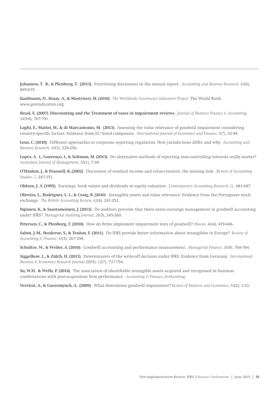**Johansen, T. R., & Plenborg, T. (2013)**. Prioritising disclosures in the annual report. *Accounting and Business Research, 43*(6), 605-635.

**Kaufmann, D., Kraay, A., & Mastruzzi, M. (2010)**. *The Worldwide Governance Indicators Project:* The World Bank. www.govindicators.org.

**Kvaal, E. (2007). Discounting and the Treatment of taxes in impairment reviews.** *Journal of Business Finance & Accounting*, *34*(5-6), 767-791.

**Laghi, E., Mattei, M., & di Marcantonio, M. (2013)**. Assessing the value relevance of goodwill impairment considering country-specific factors: Evidence from EU listed companies. *International Journal of Economics and Finance, 5*(7), 32-49.

**Leuz, C. (2010)**. Different approaches to corporate reporting regulation: How jurisdictions differ and why. *Accounting and Business Research, 40*(3), 229-256.

**Lopes, A. I., Lourenço, I., & Soliman, M. (2013)**. Do alternative methods of reporting non-controlling interests really matter? *Australian Journal of Management, 38*(1), 7-30.

**O'Hanlon, J., & Peasnell, K. (2002)**. Discussion of residual income and value-creation: the missing link. *Review of Accounting Studies, 7*, 247-251.

**Ohlson, J. A. (1995)**. Earnings, book values and dividends in equity valuation. *Contemporary Accounting Research, 11*, 681-687.

**Oliveira, L., Rodrigues, L. L., & Craig, R. (2010**). Intangible assets and value relevance: Evidence from the Portuguese stock exchange. *The British Accounting Review, 42*(4), 241-252.

**Pajunen, K., & Saastamoinen, J. (2013)**. Do auditors perceive that there exists earnings management in goodwill accounting under IFRS? *Managerial Auditing Journal, 28*(3), 245-260.

**Petersen, C., & Plenborg, T. (2010)**. How do firms implement impairment tests of goodwill? *Abacus, 46*(4), 419-446.

**Sahut, J.-M., Boulerne, S., & Teulon, F. (2011)**. Do IFRS provide better information about intangibles in Europe? *Review of Accounting & Finance, 10*(3), 267-290.

**Schultze, W., & Weiler, A. (2010)**. Goodwill accounting and performance measurement. *Managerial Finance, 36*(9), 768-784.

**Siggelkow, L., & Zülch, H. (2013)**. Determinants of the write-off decision under IFRS: Evidence from Germany. *International Business & Economics Research Journal (IBER), 12*(7), 737-754.

**Su, W.H. & Wells, P. (2014)**. The association of identifiable intangible assets acquired and recognised in business combinations with post-acquisition firm performance. *Accounting & Finance, forthcoming*.

**Verriest, A., & Gaeremynck, A. (2009)**. What determines goodwill impairment? *Review of Business and Economics, 54*(2), 1-23.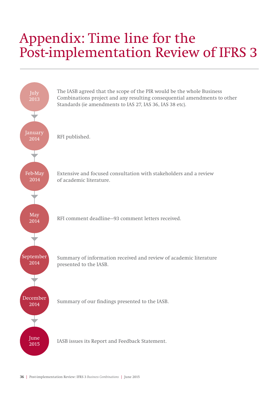## Appendix: Time line for the Post-implementation Review of IFRS 3

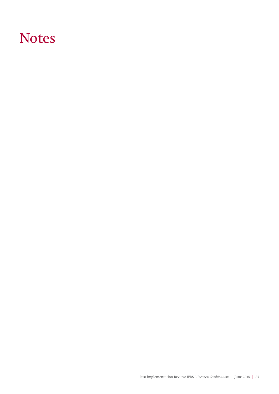### **Notes**